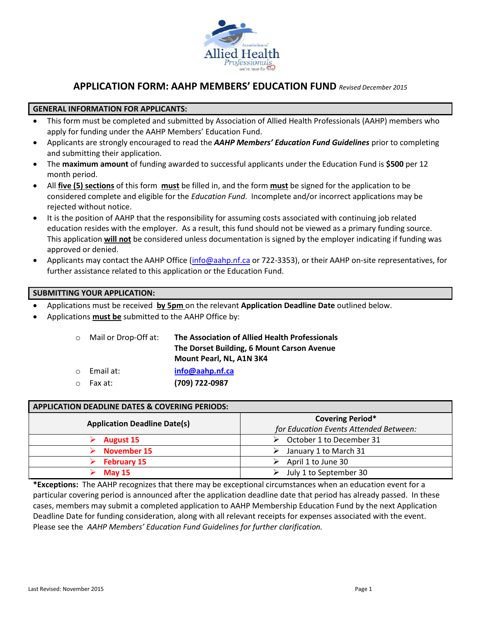

## **APPLICATION FORM: AAHP MEMBERS' EDUCATION FUND** *Revised December 2015*

## **GENERAL INFORMATION FOR APPLICANTS:**

- This form must be completed and submitted by Association of Allied Health Professionals (AAHP) members who apply for funding under the AAHP Members' Education Fund.
- Applicants are strongly encouraged to read the *AAHP Members' Education Fund Guidelines* prior to completing and submitting their application.
- The **maximum amount** of funding awarded to successful applicants under the Education Fund is **\$500** per 12 month period.
- All **five (5) sections** of this form **must** be filled in, and the form **must** be signed for the application to be considered complete and eligible for the *Education Fund*. Incomplete and/or incorrect applications may be rejected without notice.
- It is the position of AAHP that the responsibility for assuming costs associated with continuing job related education resides with the employer. As a result, this fund should not be viewed as a primary funding source. This application **will not** be considered unless documentation is signed by the employer indicating if funding was approved or denied.
- Applicants may contact the AAHP Office [\(info@aahp.nf.ca](mailto:info@aahp.nf.ca) or 722-3353), or their AAHP on-site representatives, for further assistance related to this application or the Education Fund.

### **SUBMITTING YOUR APPLICATION:**

Applications must be received **by 5pm** on the relevant **Application Deadline Date** outlined below.

Applications **must be** submitted to the AAHP Office by:

| ○ Mail or Drop-Off at: | The Association of Allied Health Professionals |  |  |
|------------------------|------------------------------------------------|--|--|
|                        | The Dorset Building, 6 Mount Carson Avenue     |  |  |
|                        | Mount Pearl, NL, A1N 3K4                       |  |  |
| $\circ$ Email at:      | info@aahp.nf.ca                                |  |  |
| ⊙ Fax at:              | (709) 722-0987                                 |  |  |
|                        |                                                |  |  |

## **APPLICATION DEADLINE DATES & COVERING PERIODS:**

| <b>Application Deadline Date(s)</b> | <b>Covering Period*</b><br>for Education Events Attended Between: |  |  |
|-------------------------------------|-------------------------------------------------------------------|--|--|
| <b>August 15</b>                    | $\triangleright$ October 1 to December 31                         |  |  |
| November 15                         | $\triangleright$ January 1 to March 31                            |  |  |
| <b>February 15</b>                  | April 1 to June 30                                                |  |  |
| <b>May 15</b>                       | July 1 to September 30                                            |  |  |

**\*Exceptions:** The AAHP recognizes that there may be exceptional circumstances when an education event for a particular covering period is announced after the application deadline date that period has already passed. In these cases, members may submit a completed application to AAHP Membership Education Fund by the next Application Deadline Date for funding consideration, along with all relevant receipts for expenses associated with the event. Please see the *AAHP Members' Education Fund Guidelines for further clarification.*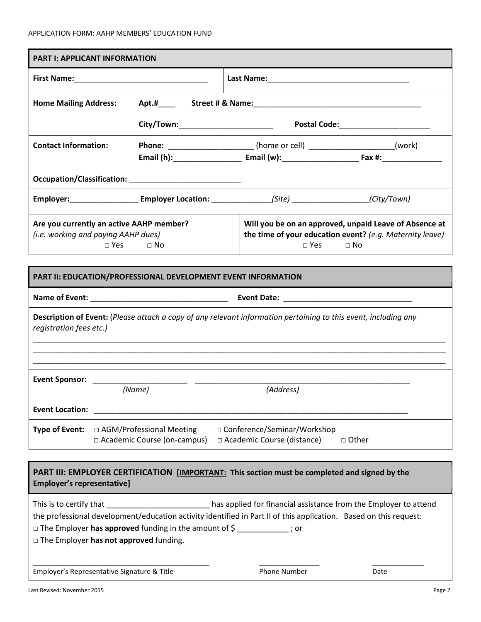| <b>PART I: APPLICANT INFORMATION</b>                                            |                                                                                                                                               |                                                                                                                     |  |                                                                                                                   |                                                                 |  |  |
|---------------------------------------------------------------------------------|-----------------------------------------------------------------------------------------------------------------------------------------------|---------------------------------------------------------------------------------------------------------------------|--|-------------------------------------------------------------------------------------------------------------------|-----------------------------------------------------------------|--|--|
|                                                                                 |                                                                                                                                               |                                                                                                                     |  |                                                                                                                   |                                                                 |  |  |
| <b>Home Mailing Address:</b>                                                    |                                                                                                                                               |                                                                                                                     |  |                                                                                                                   |                                                                 |  |  |
|                                                                                 |                                                                                                                                               |                                                                                                                     |  |                                                                                                                   |                                                                 |  |  |
| <b>Contact Information:</b>                                                     |                                                                                                                                               |                                                                                                                     |  | <b>Phone:</b> ________________________(home or cell) _______________________(work)                                |                                                                 |  |  |
|                                                                                 |                                                                                                                                               |                                                                                                                     |  |                                                                                                                   |                                                                 |  |  |
|                                                                                 |                                                                                                                                               |                                                                                                                     |  | Employer:___________________________Employer Location: ____________________(Site) ___________________(City/Town)  |                                                                 |  |  |
| Are you currently an active AAHP member?<br>(i.e. working and paying AAHP dues) | Will you be on an approved, unpaid Leave of Absence at<br>the time of your education event? (e.g. Maternity leave)<br>$\Box$ No<br>$\Box$ Yes |                                                                                                                     |  |                                                                                                                   |                                                                 |  |  |
|                                                                                 |                                                                                                                                               | PART II: EDUCATION/PROFESSIONAL DEVELOPMENT EVENT INFORMATION                                                       |  |                                                                                                                   |                                                                 |  |  |
|                                                                                 |                                                                                                                                               |                                                                                                                     |  |                                                                                                                   |                                                                 |  |  |
| registration fees etc.)                                                         |                                                                                                                                               |                                                                                                                     |  | Description of Event: (Please attach a copy of any relevant information pertaining to this event, including any   |                                                                 |  |  |
| <b>Event Sponsor:</b>                                                           |                                                                                                                                               |                                                                                                                     |  |                                                                                                                   |                                                                 |  |  |
|                                                                                 |                                                                                                                                               | (Name)                                                                                                              |  | (Address)                                                                                                         |                                                                 |  |  |
| <b>Event Location:</b>                                                          |                                                                                                                                               |                                                                                                                     |  |                                                                                                                   |                                                                 |  |  |
| Type of Event:                                                                  | □ Conference/Seminar/Workshop<br>□ AGM/Professional Meeting<br>□ Academic Course (on-campus)<br>□ Academic Course (distance)<br>□ Other       |                                                                                                                     |  |                                                                                                                   |                                                                 |  |  |
| <b>Employer's representative]</b>                                               |                                                                                                                                               |                                                                                                                     |  | PART III: EMPLOYER CERTIFICATION [IMPORTANT: This section must be completed and signed by the                     |                                                                 |  |  |
| This is to certify that                                                         |                                                                                                                                               | □ The Employer has approved funding in the amount of \$ ___________; or<br>□ The Employer has not approved funding. |  | the professional development/education activity identified in Part II of this application. Based on this request: | as applied for financial assistance from the Employer to attend |  |  |
| Employer's Representative Signature & Title<br>Phone Number                     |                                                                                                                                               |                                                                                                                     |  |                                                                                                                   | Date                                                            |  |  |